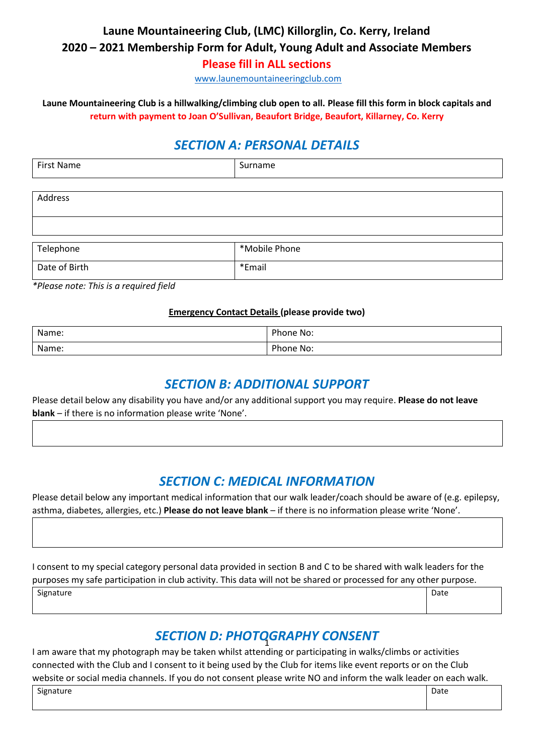## **Laune Mountaineering Club, (LMC) Killorglin, Co. Kerry, Ireland 2020 – 2021 Membership Form for Adult, Young Adult and Associate Members Please fill in ALL sections**

[www.launemountaineeringclub.com](http://www.launemountaineeringclub.com/)

**Laune Mountaineering Club is a hillwalking/climbing club open to all. Please fill this form in block capitals and return with payment to Joan O'Sullivan, Beaufort Bridge, Beaufort, Killarney, Co. Kerry**

# *SECTION A: PERSONAL DETAILS*

| Fire-<br>$\overline{\phantom{a}}$<br>-NE<br>$\overline{\phantom{a}}$ | $ -$ |
|----------------------------------------------------------------------|------|
|                                                                      |      |

| Telephone     | *Mobile Phone |
|---------------|---------------|
| Date of Birth | *Email        |

*\*Please note: This is a required field* 

Address

#### **Emergency Contact Details (please provide two)**

| Name: | Phone No: |
|-------|-----------|
| Name: | Phone No: |

#### *SECTION B: ADDITIONAL SUPPORT*

Please detail below any disability you have and/or any additional support you may require. **Please do not leave blank** – if there is no information please write 'None'.

## *SECTION C: MEDICAL INFORMATION*

Please detail below any important medical information that our walk leader/coach should be aware of (e.g. epilepsy, asthma, diabetes, allergies, etc.) **Please do not leave blank** – if there is no information please write 'None'.

I consent to my special category personal data provided in section B and C to be shared with walk leaders for the purposes my safe participation in club activity. This data will not be shared or processed for any other purpose.

Signature **Date** 

# *SECTION D: PHOTOGRAPHY CONSENT* 1

I am aware that my photograph may be taken whilst attending or participating in walks/climbs or activities connected with the Club and I consent to it being used by the Club for items like event reports or on the Club website or social media channels. If you do not consent please write NO and inform the walk leader on each walk.

Signature Date Date of the Date of the Date of the Date of the Date of the Date of the Date of the Date of the